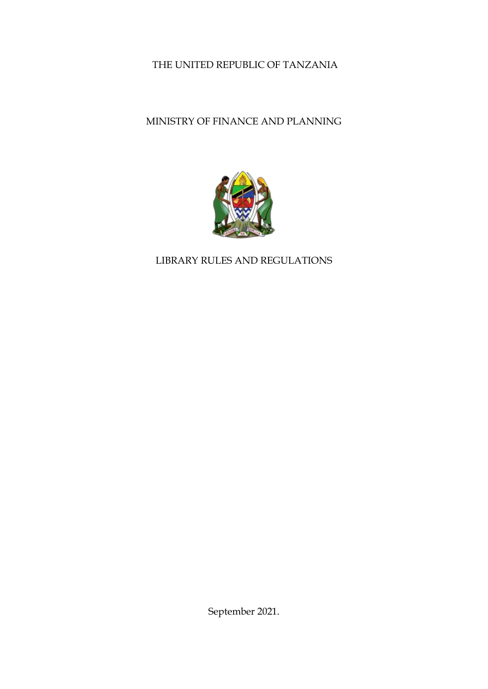# THE UNITED REPUBLIC OF TANZANIA

# MINISTRY OF FINANCE AND PLANNING



## LIBRARY RULES AND REGULATIONS

September 2021.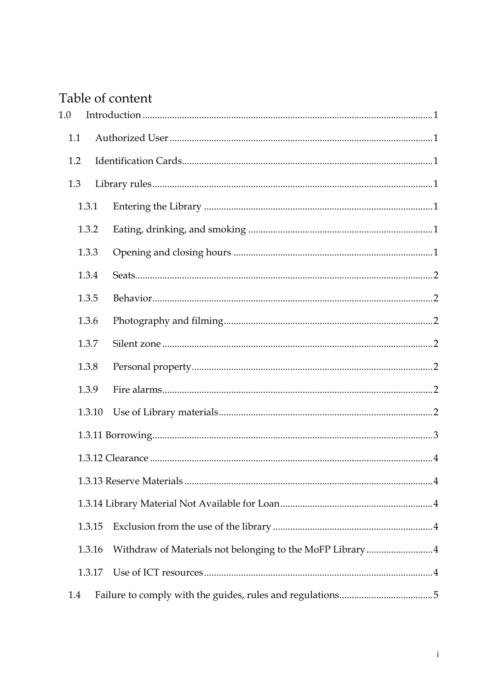# Table of content

| 1.0    |                                                          |  |
|--------|----------------------------------------------------------|--|
| 1.1    |                                                          |  |
| 1.2    |                                                          |  |
| 1.3    |                                                          |  |
| 1.3.1  |                                                          |  |
| 1.3.2  |                                                          |  |
| 1.3.3  |                                                          |  |
| 1.3.4  |                                                          |  |
| 1.3.5  |                                                          |  |
| 1.3.6  |                                                          |  |
| 1.3.7  |                                                          |  |
| 1.3.8  |                                                          |  |
| 1.3.9  |                                                          |  |
| 1.3.10 |                                                          |  |
|        |                                                          |  |
|        |                                                          |  |
|        |                                                          |  |
|        |                                                          |  |
| 1.3.15 |                                                          |  |
| 1.3.16 | Withdraw of Materials not belonging to the MoFP Library4 |  |
| 1.3.17 |                                                          |  |
| 1.4    |                                                          |  |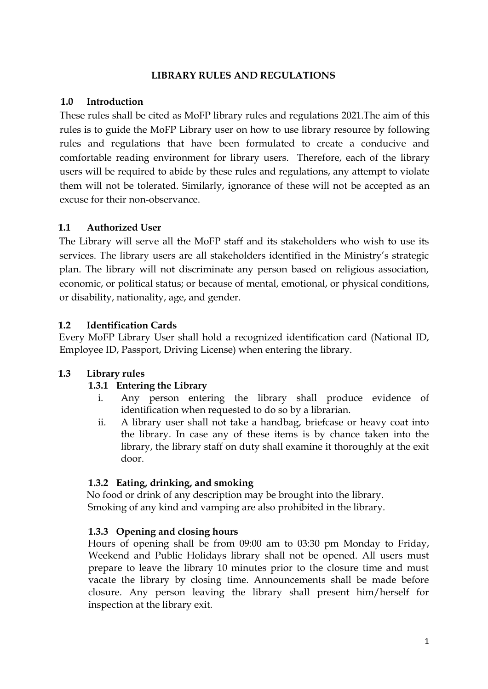#### **LIBRARY RULES AND REGULATIONS**

### <span id="page-2-0"></span>**1.0 Introduction**

These rules shall be cited as MoFP library rules and regulations 2021.The aim of this rules is to guide the MoFP Library user on how to use library resource by following rules and regulations that have been formulated to create a conducive and comfortable reading environment for library users. Therefore, each of the library users will be required to abide by these rules and regulations, any attempt to violate them will not be tolerated. Similarly, ignorance of these will not be accepted as an excuse for their non-observance.

## <span id="page-2-1"></span>**1.1 Authorized User**

The Library will serve all the MoFP staff and its stakeholders who wish to use its services. The library users are all stakeholders identified in the Ministry's strategic plan. The library will not discriminate any person based on religious association, economic, or political status; or because of mental, emotional, or physical conditions, or disability, nationality, age, and gender.

## <span id="page-2-2"></span>**1.2 Identification Cards**

Every MoFP Library User shall hold a recognized identification card (National ID, Employee ID, Passport, Driving License) when entering the library.

## <span id="page-2-4"></span><span id="page-2-3"></span>**1.3 Library rules**

### **1.3.1 Entering the Library**

- i. Any person entering the library shall produce evidence of identification when requested to do so by a librarian.
- ii. A library user shall not take a handbag, briefcase or heavy coat into the library. In case any of these items is by chance taken into the library, the library staff on duty shall examine it thoroughly at the exit door.

### <span id="page-2-5"></span>**1.3.2 Eating, drinking, and smoking**

No food or drink of any description may be brought into the library. Smoking of any kind and vamping are also prohibited in the library.

### <span id="page-2-6"></span>**1.3.3 Opening and closing hours**

Hours of opening shall be from 09:00 am to 03:30 pm Monday to Friday, Weekend and Public Holidays library shall not be opened. All users must prepare to leave the library 10 minutes prior to the closure time and must vacate the library by closing time. Announcements shall be made before closure. Any person leaving the library shall present him/herself for inspection at the library exit.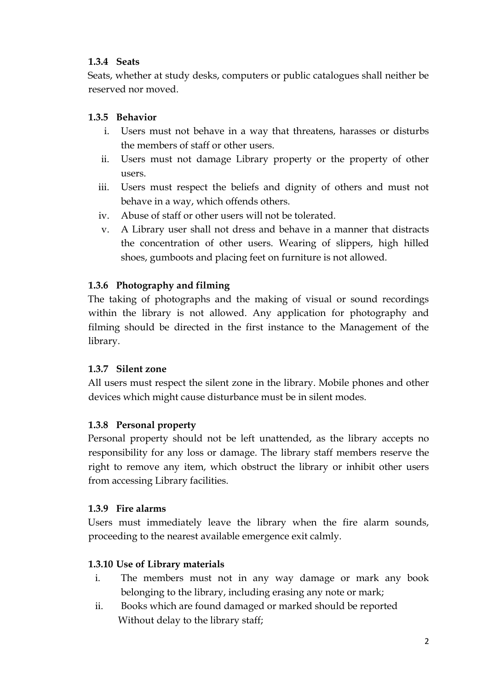## <span id="page-3-0"></span>**1.3.4 Seats**

Seats, whether at study desks, computers or public catalogues shall neither be reserved nor moved.

## <span id="page-3-1"></span>**1.3.5 Behavior**

- i. Users must not behave in a way that threatens, harasses or disturbs the members of staff or other users.
- ii. Users must not damage Library property or the property of other users.
- iii. Users must respect the beliefs and dignity of others and must not behave in a way, which offends others.
- iv. Abuse of staff or other users will not be tolerated.
- v. A Library user shall not dress and behave in a manner that distracts the concentration of other users. Wearing of slippers, high hilled shoes, gumboots and placing feet on furniture is not allowed.

## <span id="page-3-2"></span>**1.3.6 Photography and filming**

The taking of photographs and the making of visual or sound recordings within the library is not allowed. Any application for photography and filming should be directed in the first instance to the Management of the library.

### <span id="page-3-3"></span>**1.3.7 Silent zone**

All users must respect the silent zone in the library. Mobile phones and other devices which might cause disturbance must be in silent modes.

### <span id="page-3-4"></span>**1.3.8 Personal property**

Personal property should not be left unattended, as the library accepts no responsibility for any loss or damage. The library staff members reserve the right to remove any item, which obstruct the library or inhibit other users from accessing Library facilities.

### <span id="page-3-5"></span>**1.3.9 Fire alarms**

Users must immediately leave the library when the fire alarm sounds, proceeding to the nearest available emergence exit calmly.

## <span id="page-3-6"></span>**1.3.10 Use of Library materials**

- i. The members must not in any way damage or mark any book belonging to the library, including erasing any note or mark;
- ii. Books which are found damaged or marked should be reported Without delay to the library staff;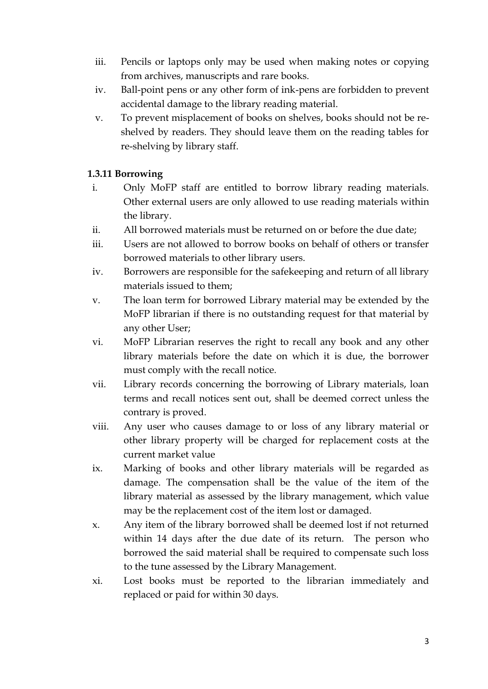- iii. Pencils or laptops only may be used when making notes or copying from archives, manuscripts and rare books.
- iv. Ball-point pens or any other form of ink-pens are forbidden to prevent accidental damage to the library reading material.
- v. To prevent misplacement of books on shelves, books should not be reshelved by readers. They should leave them on the reading tables for re-shelving by library staff.

### <span id="page-4-0"></span>**1.3.11 Borrowing**

- i. Only MoFP staff are entitled to borrow library reading materials. Other external users are only allowed to use reading materials within the library.
- ii. All borrowed materials must be returned on or before the due date;
- iii. Users are not allowed to borrow books on behalf of others or transfer borrowed materials to other library users.
- iv. Borrowers are responsible for the safekeeping and return of all library materials issued to them;
- v. The loan term for borrowed Library material may be extended by the MoFP librarian if there is no outstanding request for that material by any other User;
- vi. MoFP Librarian reserves the right to recall any book and any other library materials before the date on which it is due, the borrower must comply with the recall notice.
- vii. Library records concerning the borrowing of Library materials, loan terms and recall notices sent out, shall be deemed correct unless the contrary is proved.
- viii. Any user who causes damage to or loss of any library material or other library property will be charged for replacement costs at the current market value
- ix. Marking of books and other library materials will be regarded as damage. The compensation shall be the value of the item of the library material as assessed by the library management, which value may be the replacement cost of the item lost or damaged.
- x. Any item of the library borrowed shall be deemed lost if not returned within 14 days after the due date of its return. The person who borrowed the said material shall be required to compensate such loss to the tune assessed by the Library Management.
- xi. Lost books must be reported to the librarian immediately and replaced or paid for within 30 days.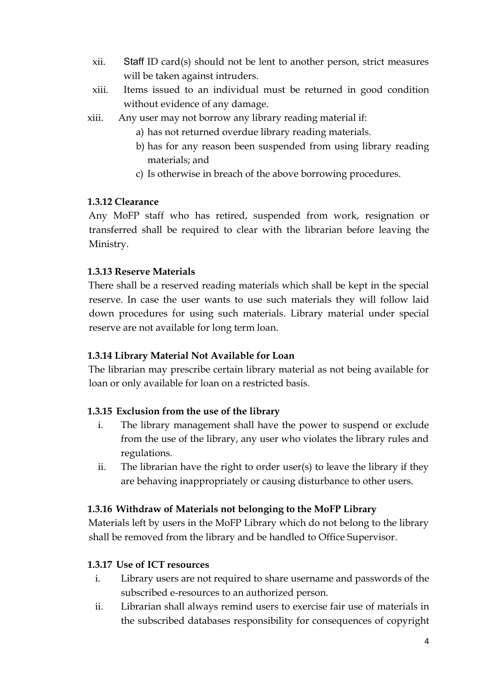- xii. Staff ID card(s) should not be lent to another person, strict measures will be taken against intruders.
- xiii. Items issued to an individual must be returned in good condition without evidence of any damage.
- xiii. Any user may not borrow any library reading material if:
	- a) has not returned overdue library reading materials.
	- b) has for any reason been suspended from using library reading materials; and
	- c) Is otherwise in breach of the above borrowing procedures.

#### <span id="page-5-0"></span>**1.3.12 Clearance**

Any MoFP staff who has retired, suspended from work, resignation or transferred shall be required to clear with the librarian before leaving the Ministry.

#### <span id="page-5-1"></span>**1.3.13 Reserve Materials**

There shall be a reserved reading materials which shall be kept in the special reserve. In case the user wants to use such materials they will follow laid down procedures for using such materials. Library material under special reserve are not available for long term loan.

### <span id="page-5-2"></span>**1.3.14 Library Material Not Available for Loan**

The librarian may prescribe certain library material as not being available for loan or only available for loan on a restricted basis.

### <span id="page-5-3"></span>**1.3.15 Exclusion from the use of the library**

- i. The library management shall have the power to suspend or exclude from the use of the library, any user who violates the library rules and regulations.
- ii. The librarian have the right to order user(s) to leave the library if they are behaving inappropriately or causing disturbance to other users.

### <span id="page-5-4"></span>**1.3.16 Withdraw of Materials not belonging to the MoFP Library**

Materials left by users in the MoFP Library which do not belong to the library shall be removed from the library and be handled to Office Supervisor.

#### <span id="page-5-5"></span>**1.3.17 Use of ICT resources**

- i. Library users are not required to share username and passwords of the subscribed e-resources to an authorized person.
- ii. Librarian shall always remind users to exercise fair use of materials in the subscribed databases responsibility for consequences of copyright